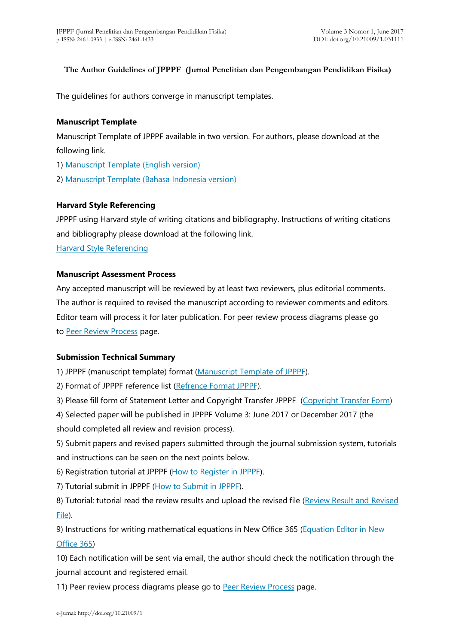## **The Author Guidelines of JPPPF (Jurnal Penelitian dan Pengembangan Pendidikan Fisika)**

The guidelines for authors converge in manuscript templates.

#### **Manuscript Template**

Manuscript Template of JPPPF available in two version. For authors, please download at the following link.

1) [Manuscript Template \(English version\)](https://drive.google.com/open?id=0B4Xa5CiP3JF8c0ZzQjNmNXI1dHM)

2) [Manuscript Template \(Bahasa Indonesia version\)](https://drive.google.com/open?id=0B4Xa5CiP3JF8enJiTzlMSEI1LUU)

## **Harvard Style Referencing**

JPPPF using Harvard style of writing citations and bibliography. Instructions of writing citations and bibliography please download at the following link.

[Harvard Style Referencing](https://drive.google.com/open?id=0B4Xa5CiP3JF8M0xVNk0zek0wV00)

## **Manuscript Assessment Process**

Any accepted manuscript will be reviewed by at least two reviewers, plus editorial comments. The author is required to revised the manuscript according to reviewer comments and editors. Editor team will process it for later publication. For peer review process diagrams please go to [Peer Review Process](http://journal.unj.ac.id/unj/index.php/jpppf/reviewprocess) page.

# **Submission Technical Summary**

1) JPPPF (manuscript template) format [\(Manuscript Template of JPPPF\)](http://journal.unj.ac.id/unj/index.php/jpppf/manuscripttemplate).

2) Format of JPPPF reference list [\(Refrence Format JPPPF](http://tiny.cc/FormatRefJPPPF)).

3) Please fill form of Statement Letter and Copyright Transfer JPPPF [\(Copyright Transfer Form](https://form.jotform.me/72668472702462))

4) Selected paper will be published in JPPPF Volume 3: June 2017 or December 2017 (the should completed all review and revision process).

5) Submit papers and revised papers submitted through the journal submission system, tutorials and instructions can be seen on the next points below.

6) Registration tutorial at JPPPF [\(How to Register in JPPPF\)](https://youtu.be/VsVdfjGES2s).

7) Tutorial submit in JPPPF [\(How to Submit in JPPPF\)](https://youtu.be/AwNlxiaeVys).

8) Tutorial: tutorial read the review results and upload the revised file [\(Review Result and Revised](https://www.youtube.com/watch?v=WlCydgQdrMY) [File\)](https://www.youtube.com/watch?v=WlCydgQdrMY).

9) Instructions for writing mathematical equations in New Office 365 [\(Equation Editor in New](http://journal.unj.ac.id/unj/index.php/jpppf/equation) [Office 365\)](http://journal.unj.ac.id/unj/index.php/jpppf/equation)

10) Each notification will be sent via email, the author should check the notification through the journal account and registered email.

11) Peer review process diagrams please go to [Peer Review Process](http://journal.unj.ac.id/unj/index.php/jpppf/reviewprocess) page.